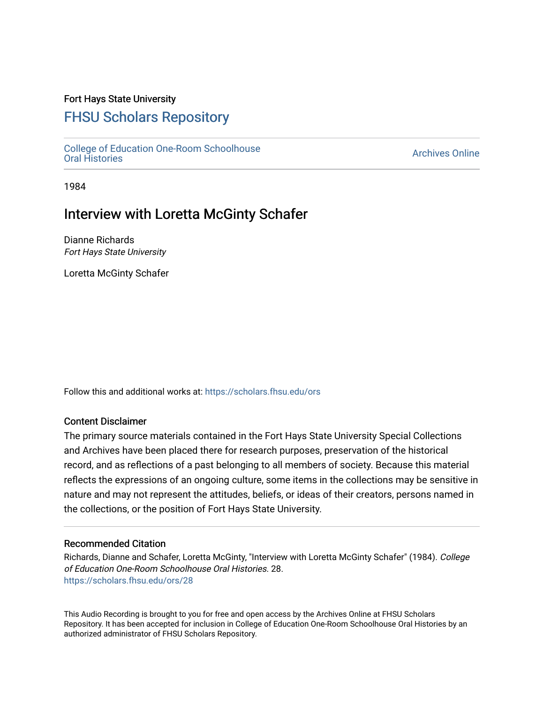### Fort Hays State University

## [FHSU Scholars Repository](https://scholars.fhsu.edu/)

[College of Education One-Room Schoolhouse](https://scholars.fhsu.edu/ors) [Oral Histories](https://scholars.fhsu.edu/ors) [Archives Online](https://scholars.fhsu.edu/archives) 

1984

## Interview with Loretta McGinty Schafer

Dianne Richards Fort Hays State University

Loretta McGinty Schafer

Follow this and additional works at: [https://scholars.fhsu.edu/ors](https://scholars.fhsu.edu/ors?utm_source=scholars.fhsu.edu%2Fors%2F28&utm_medium=PDF&utm_campaign=PDFCoverPages) 

#### Content Disclaimer

The primary source materials contained in the Fort Hays State University Special Collections and Archives have been placed there for research purposes, preservation of the historical record, and as reflections of a past belonging to all members of society. Because this material reflects the expressions of an ongoing culture, some items in the collections may be sensitive in nature and may not represent the attitudes, beliefs, or ideas of their creators, persons named in the collections, or the position of Fort Hays State University.

#### Recommended Citation

Richards, Dianne and Schafer, Loretta McGinty, "Interview with Loretta McGinty Schafer" (1984). College of Education One-Room Schoolhouse Oral Histories. 28. [https://scholars.fhsu.edu/ors/28](https://scholars.fhsu.edu/ors/28?utm_source=scholars.fhsu.edu%2Fors%2F28&utm_medium=PDF&utm_campaign=PDFCoverPages)

This Audio Recording is brought to you for free and open access by the Archives Online at FHSU Scholars Repository. It has been accepted for inclusion in College of Education One-Room Schoolhouse Oral Histories by an authorized administrator of FHSU Scholars Repository.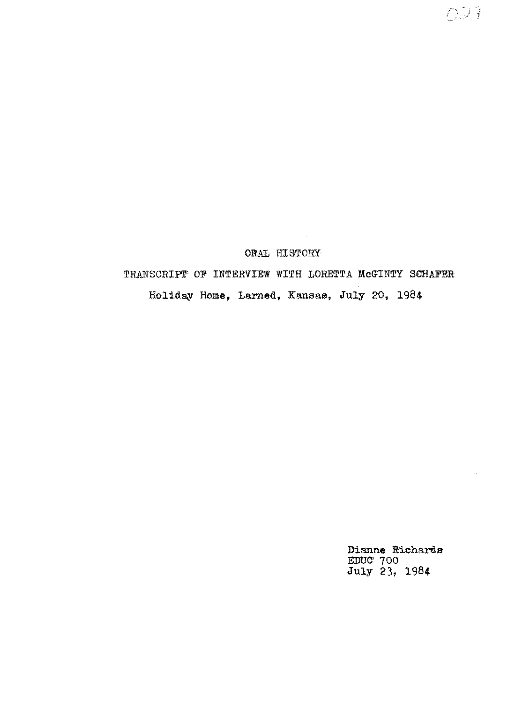### ORAL HISTORY

# TRANSCRIPT OF INTERVIEW WITH LORETTA McGINTY SCHAFER Holiday Home, Larned, Kansas, July 20, 1984

Dianne Richards EDUC- 700 July 23, 1984

 $0.94$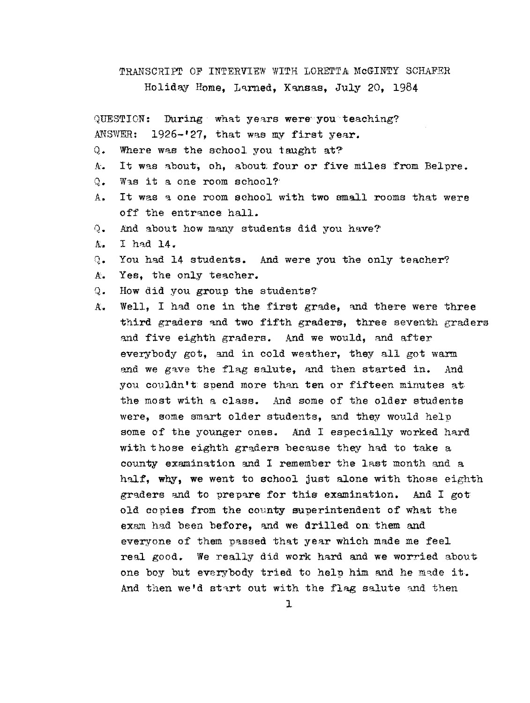TRANSCRIPT OF INTERVIEW WITH LORETTA MCGINTY SCHAFER Holiday Home, Larned, Kansas, July 20, 1984

QUESTION: During what years were you teaching?  $ANSWER: 1926-127$ , that was my first year.

- Q. Where was the school you taught at?
- A. It was about, oh, about four or five miles from Belpre.
- Q. Was it a one room school?'
- A. It was a one room school with two small rooms that were off the entrance hall.
- $Q_$ . And about how many students did you have?'
- $A.$  I had 14.
- Q. You had 14 students. And were you the only teacher?
- A. Yes, the only teacher.
- Q. How did you group the students?
- $A<sub>s</sub>$  Well. I had one in the first grade, and there were three third graders and two fifth graders, three seventh graders and five eighth graders. And we would, and after everybody got, and in cold weather, they all got warm and we gave the flag salute, and then started in. And you couldn't spend more than ten or fifteen minutes at the most with a class. And some of the older students were, some smart older students, and they would help some of the younger ones. And I especially worked hard with those eighth graders because they had to take a county examination and I remember the last month and a half, why, we went to school just alone with those eighth graders and to prepare for this examination. And I got old copies from the county superintendent of what the exam had been before, and we drilled on them and everyone of them passed that year which made me feel real good. We really did work hard and we worried about, one boy but everybody tried to help him and he made it. And then we'd start out with the flag salute and then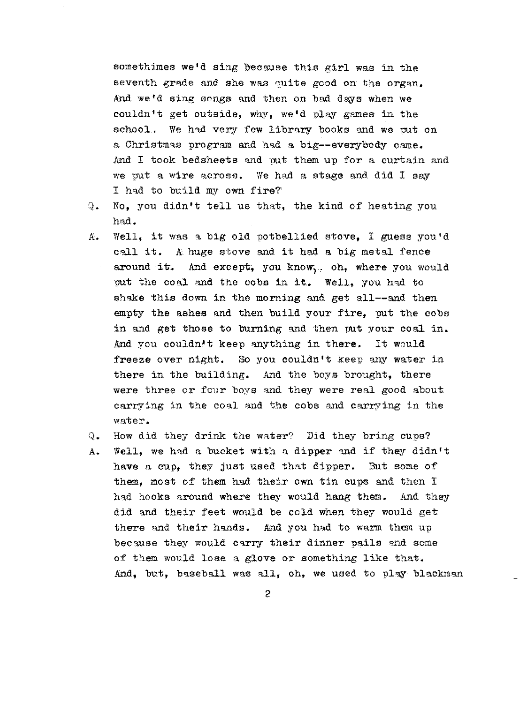somethimes we'd sing because this girl was in the seventh grade and she was quite good on the organ. And we'd sing songs and then on bad days when we couldn't get outside, why, we'd play games in the school. We had very few library books and we put on a Christmas program and had a big--everybody came. And I took bedsheets and put them up for a curtain and we put a wire across. We had a stage and did I say I had to build my own fire?'

- Q. No, you didn't tell us that, the kind of heatmg you had.
- A. Well, it was a big old potbellied stove, I guess you'd call it. A huge stove and it had a big metal fence around it. And except, you know, oh, where you would put the coal and the cobs in it. Well, you had to shake this down in the morning and get all--and then empty the ashes and then build your fire, put the cobs in and get those to burning and then put your coal in. And you couldn't keep anything in there. It would freeze over night. So you couldn't keep any water in there in the building. And the boys brought, there were three or four boys and they were real good about carrying in the coal and the cobs and carrying in the water.
- Q. How did they drink the water? Did they bring cups?
- A. Well, we had a bucket with a dipper and if they didn't have a cup, they just used that dipper. But some of them, most of them had their own tin cups and then I had hooks around where they would hang them. And they did and their feet would be cold when they would get there and their hands. And you had to warm them up because they would carry their dinner pails and some of them would lose a glove or something like that. And, but, baseball was all, oh, we used to play blackman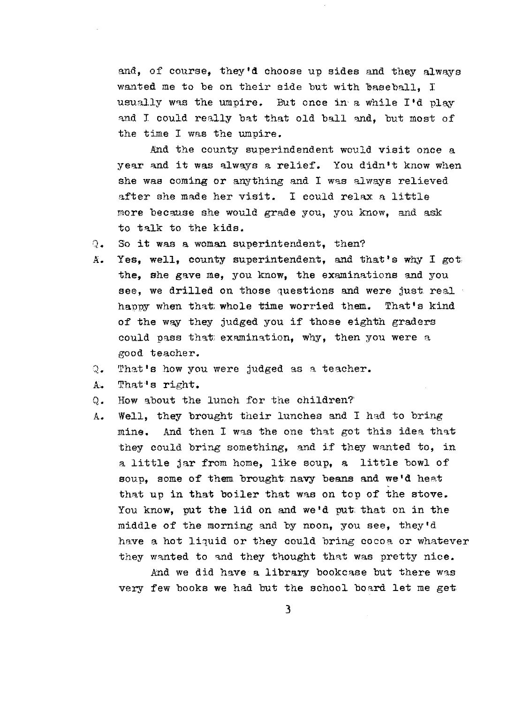and, of course, they'd choose up sides and they always wanted me to be on their side but with baseball. I usually was the umpire. But once in a while I'd play and I could really bat that old ball and. but most of the time I was the umpire.

And the county superindendent would visit once a year and it was always a relief. You didn't know when she was coming or anything and I was always relieved after she made her visit. I could relax a little more because she would grade you, you know, and ask to talk to the kids.

- *1* So it was a woman superintendent, then?
- A. Yes, well, county superintendent, and that's why I got the, she gave me, you know, the examinations and you see, we drilled on those questions and were just real happy when that whole time worried them. That's kind of the way they judged you if those eighth graders could pass that examination, why, then you were a good teacher.
- That's how you were judged as a teacher.  $Q_{\bullet}$
- A. That ' s right.
- Q. How about the lunch for the children?
- A. Well, they brought their lunches and I had to bring mine. And then I was the one that got this idea that they could bring something, and if they wanted to, in a little jar from home, like soup, **a** little bowl of soup, some of them brought navy beans and we'd heat that up in that boiler that was on top of the stove. You know, put the lid on and we'd put that on in the middle of the morning and by noon, you see, they'd have a hot liquid or they could bring cocoa or whatever they wanted to and they thought that was pretty nice.

And we did have a library bookcase but there was very few books we had but the school board let me get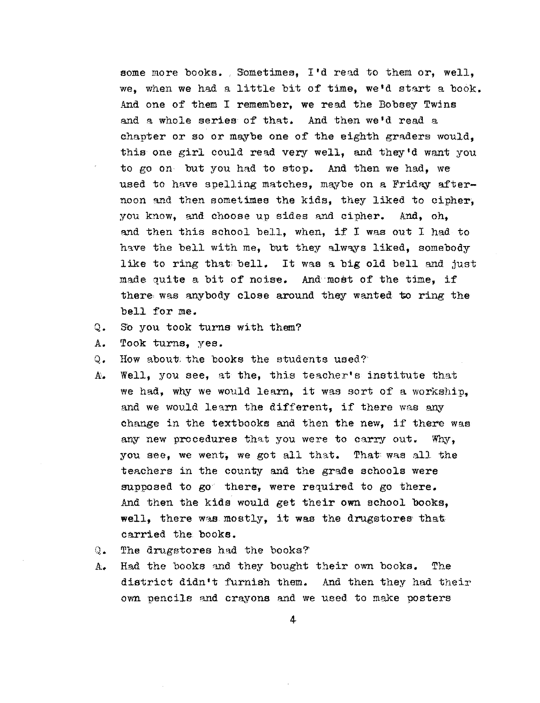some more books. Sometimes, I'd read to them or, well, we, when we had a little bit of time, we'd start a book, And one of them I remember, we read the Bobaey Twins and a whole series of that. And then we'd read a chapter or so or maybe one of the eighth graders would, this one girl could read very well, and they'd want you to go on but you had to stop. And then we had, we used to have spelling matches, maybe on a Friday afternoon and then sometimes the kids, they liked to cipher, you know, and choose up sides and cipher. And, oh, and then this school bell, when, if I was out I had to have the bell with me, but they always liked, somebody like to ring that bell. It was a big old bell and just made quite a bit of noise. And most of the time, if there was anybody close around they wanted to ring the bell for me.

- Q. So you took turns with them?
- A. Took turns, yes.
- 0. How about the books the students used?
- A. Well, you see, at the, this teacher's institute that we had, why we would learn, it was sort of a workship, and we would learn the different, if there was any change in the textbooks and then the new, if there was any new procedures that you were to carry out. Why, you see, we went, we got all that. That was all the teachers in the county and the grade schools were supposed to go there, were required to go there. And then the kids would get their own school books, well, there was mostly, it was the drugstores that carried the books.
- Q. The drugstores had the books?
- A. Had the books and. they bought their own books. The district didn't furnish them. And then they had their own pencils and crayons and we used to make posters

4,.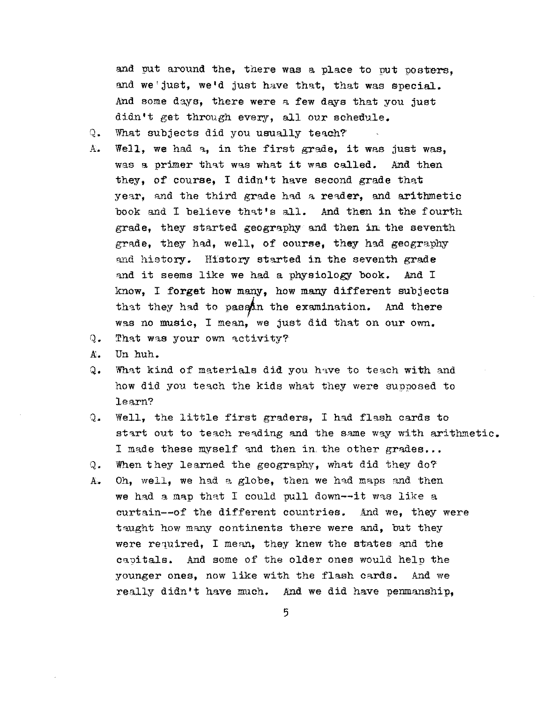and put around the, there was a place to put posters. and we'just, we'd just have that, that was special. And some days, there were a few days that you just didn't get through every, all our schedule.

- Q. What subjects did you usually teach?
- A. Well, we had a, in the first grade, it was just was, was a primer that was what it was called. And then they, of course, I didn't have second grade that year, and the third grade had a reader, and arithmetic book and I believe that's all. And then in the fourth grade, they started geography and then in the seventh grade, they had, well, of course, they had geography and history. History started in the seventh grade and it seems like **we** had a physiology book. And I know, I **forget how** many, how many different subjects that they had to passin the examination. And there was no music, I mean, we just did that on our own.
- Q. That was your own activity?
- X. Un huh.
- Q. What kind of materials did you have to teach with and how did you teach the kids what they were supposed to learn?
- Q. Well, the little first graders, I had flash cards to start out to teach reading and the same way with arithmetic. I made these myself and then in the other grades...
- Q. When they learned the geography, what did they do?
- A. Oh, well, we had a globe, then we had maps and then we had a map that I could pull down--it was like a curtain--of the different countries. And we, they were taught how many continents there were and, but they were required, I mean, they knew the states and the capitals. And some of the older ones would help the younger ones, now like with the flash cards. And we really didn't have much. And we did have penmanship,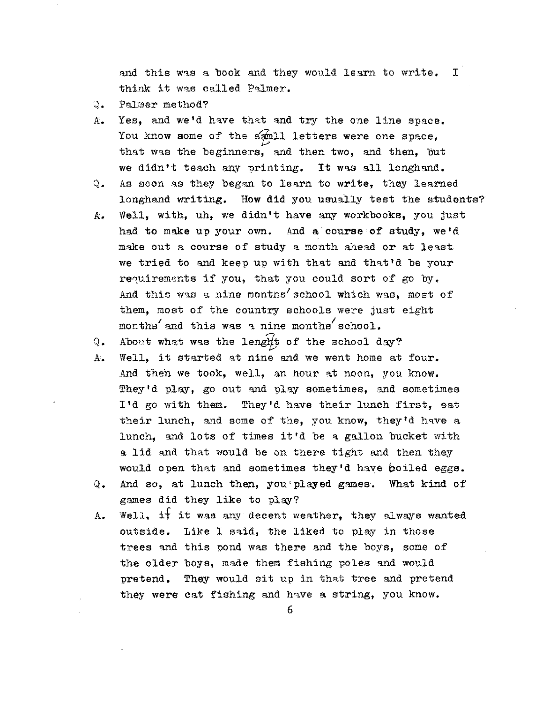and this was a book and they would learn to write.  $I$ think it was called Palmer.

- Q, Palmer method?
- A. Yes, and we'd have that and try the one line space. You know some of the samll letters were one space. that was the beginners, and then two, and then, but we didn't teach any printing. It was all longhand.
- $Q<sub>z</sub>$  As soon as they began to learn to write, they learned longhand writing. How did you usually test the students?
- A. Well, with, uh, we didn't have any workbooks, you just had to make up your own. And a course of study, we'd make out a course of study a month ahead or at least we tried to and keep up with that and that'd be your requirements if you, that you could sort of go by. And this was a nine montns'school which was, most of them, most of the country schools were just eight months and this was a nine months school.

Q. About what was the length of the school day?

- A. Well. it started at nine and we went home at four. And then we took, well, an hour at noon, you know. They'd play, go out and play sometimes, and sometimes I'd go with them. They'd have their lunch first, eat their lunch, and some of the, you know, they'd have a lunch, and lots of times it'd be a gallon bucket with a lid and that would be on there tight and then they would open that and sometimes they'd have boiled eggs.
- Q. And so, at lunch then, you'played games. What kind of games did they like to play?
- $k$ . Well, it it was any decent weather, they always wanted outside. Like I said, the liked to play in those trees and this pond was there and the boys, some of the older boys, made them fishing poles and would pretend. They would sit up in that tree and pretend they were cat fishing and have a string, you know.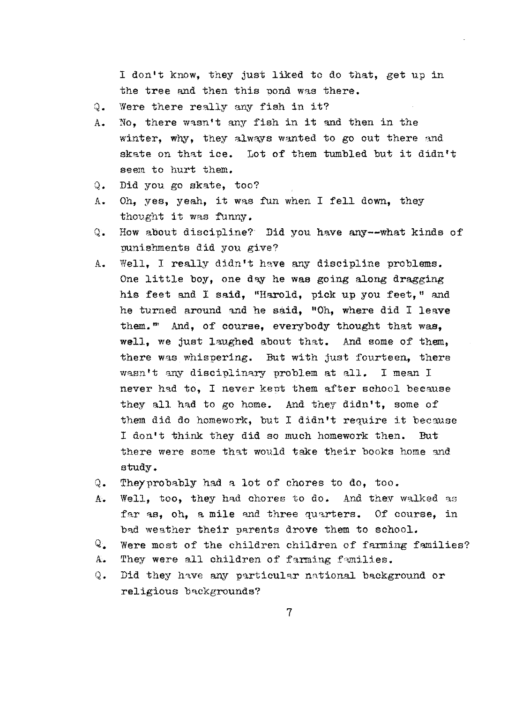I don't know, they just liked to do that, get up in the tree and then this pond was there.

- Q. Were there really any fish in it?
- A. No, there wasn't any fish in it and then in the winter, why, they always wanted to go out there and skate on that ice. Lot of them tumbled but it didn't seem to hurt them.
- Q. Did you go skate, too?
- A. Oh, yes, yeah, it was fun when I fell down, they thought it was funny.
- Q. How about discipline? Did you have any--what kinds of punishments did you give?
- A. Well, I really didn't have any discipline problems. One little boy, one dey he was going along dragging his feet and I said, "Harold, pick up you feet," and he turned around md he said, "Oh, where did I leave them."' And, of course, everybody thought that was, well, we just laughed about that. And some of them, there was whispering. But with just fourteen, there wasn't any disciplinary problem at all. I mean I never had to, I never kept them after school because they all had to go home. And they didn't, some of them did do homework, but I didn't require it because I don't think they did so much homework then. But there were some that would take their books home and study.
- Q. Theyprobably had a lot of chores to do, too.
- A. Well, too, they had chores to do. And they walked as far as, oh, a mile and three quarters. Of course, in bad weather their parents drove them to school.
- $Q_{\bullet}$  Were most of the children children of farming families?
- A. They were all children of farming families.
- Q. Did they have any particular national background or religious backgrounds?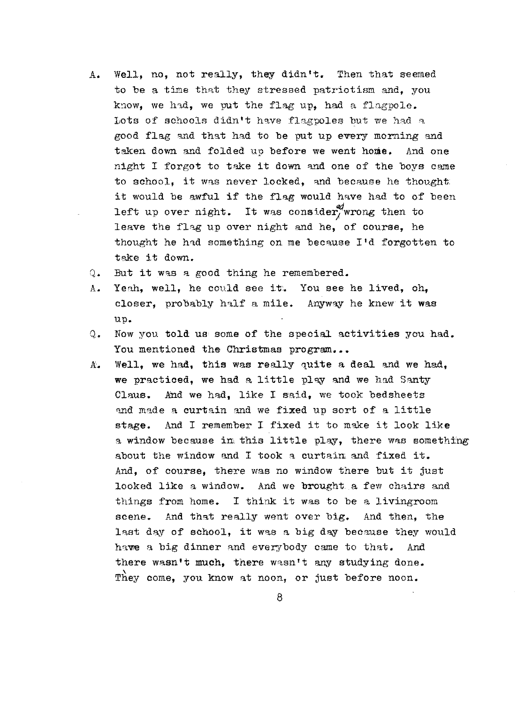- A. Well, no, not really, they didn't. Then that seemed to be a time that they stressed patriotism and, you know, we had, we put the flag up, had a flagpole. Lots of schools didn't have flagpoles but we had a good flag and that had to be put up every morning and taken down and folded up before we went home. And one night I forgot to take it down and one of the boys came to school, it was never locked, and because he thought. it would be awful if the flag would have had to of been left up over night. It was consider, wrong then to leave the flag up over night and he, of course, he thought he had something on me because  $I'd$  forgotten to take it down.
- Q. But it was a good thing he remembered.
- A. Yeah, well, he could see it. You see he lived, oh, closer, probably half a mile. Anyway he knew it was up.
- Q. Now you told us some of the special activities you had. You mentioned the Christmas program...
- A. Well, we had, this was really quite a deal and we had, we practiced, we had a little pley and we had Santy Claus. And we had, like I said, we took bedsheets and made a curtain and we fixed up sort of a little stage. And I remember I fixed it to make it look like a window because in this little play, there was something about the window and I took a curtain and fixed it. And, of course, there was no window there but it just looked like a window. And we brought. a few chairs and things from home. I think it was to be a livingroom scene. And that really went over big. And then, the last day of school, it was a big day because they would have a big dinner and everybody came to that. And there wasn't much, there wasn't any studying done. They come, you know at noon, or just before noon.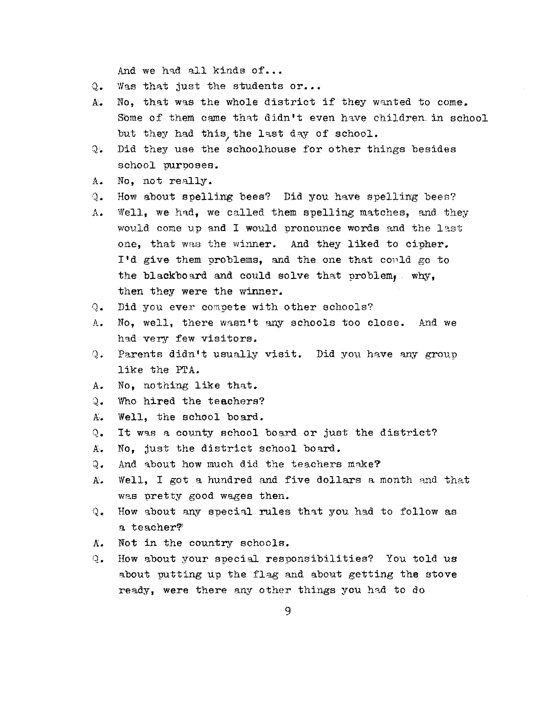And we had all kinds of...

- Q. Was that just the students or...
- A. No, that was the whole district if they wanted to come. Some of them came that didn't even have children. in school but they had this, the last day of school.
- Q. Did they use the schoolhouse for other things besides school purposes.
- A. No. not really.
- Q. How about spelling bees? Did you have spelling bees?
- A. Well, we had, we called them spelling matches, and they would come up and I would pronounce words and the last one, that was the winner. And they liked to cipher. I'd give them oroblems, and the one that could go to the blackboard and could solve that problem,. why, then they were the winner.
- Q. Did you ever compete with other schools?
- A. No, well, there wasn't any schools too close. And we had very few visitors.
- Q. Parents didn't usually visit. Did you have any group like the PrA.
- A. No, nothing like that.
- Q. Who hired the teachers?
- A. Well, the school board.
- Q. It was a county school board or just the district?
- A. No, just the district school board.
- Q. And about how much did the teachers make?
- A. Well, I got a hundred and five dollars a month and that was pretty good wages then.
- Q. How about any special rules that you had to follow as a teacher?'
- A. Not in the country schools.
- Q. How about your special responsibilities? You told us about putting up the flag and about getting the stove ready, were there any other things you had to do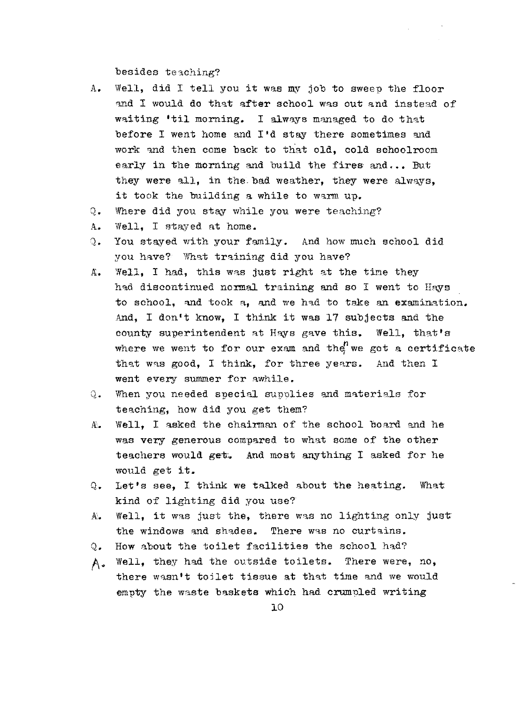besides teaching?

- A. Well, did I tell you it was my job to sweep the floor and I would do that after school was out and instead of waiting 'til morning. I always managed to do that before I went home and  $I'$ d stay there sometimes and work and then come back to that old, cold schoolroom early in the morning and build the fires and... But they were all, in the bad weather, they were always, it took the building a while to warm up.
- Q. Where did you stay while you were teaching?
- A. Well, I stayed at home.
- Q. You stayed with your family. And how much school did you have? What training did you have?
- A. Well, I had, this was just right at the time they had discontinued normal training and so I went to Hays to school, and took a, and we had to take an examination. And, I don't know, I think it was 17 subjects and the county superintendent at Hays gave this. where we went to for our exam and the we got a certificate that was good, I think, for three years. And then I went every summer for awhile. Well, that's
- Q. When you needed special supplies and materials for teaching, how did you get them?
- A. Well, I asked the chairman of the school board and he was very generous compared to what some of the other teachers would get. And most anything I asked for he would get it.
- $Q_$ . Let's see, I think we talked about the heating. What kind of lighting did you use?
- $A.$  Well, it was just the, there was no lighting only just the windows and shades. There was no curtains.
- Q. How about the toilet facilities the school had?
- A• Well, they had the outside toilets. There were, no, there wasn't toilet tissue at that time and we would empty the waste baskets which had crumpled writing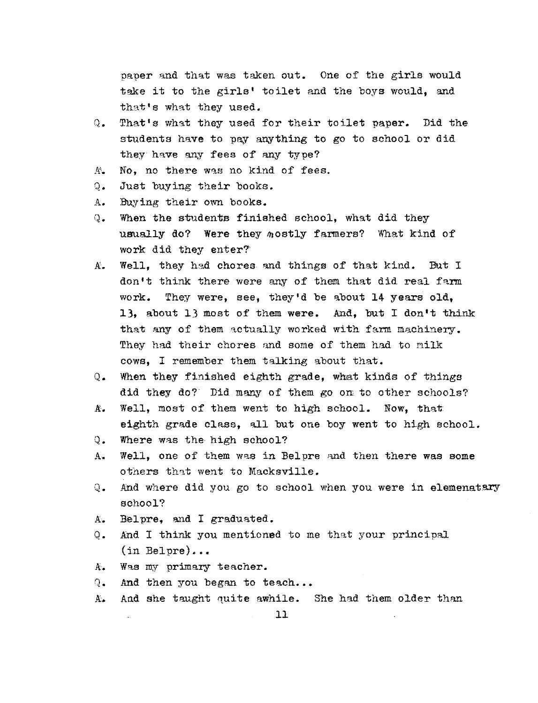paper and that was taken out. One of the girls would take it to the girls' toilet and the boys would, and that's what they used.

- Q. That's what they used for their toilet paper. Did the students have to pay anything to go to school or did they have any fees of any type?
- A. No, no there was no kind of fees.
- Q. Just buying their books.
- A. Buying their own books.
- Q. When the students finished school, what did they usually do? Were they mostly farmers? What kind of work did they enter?'
- A. Well. they had chores and things of that kind. But I don't think there were any of them that did real farm work. They were, see, they'd be about 14 years old, 13, about 13 most of them **were.** And, but I don•t think that any of them actually worked with farm machinery. They had their chores and some of them had to milk cows, I remember them talking about that.
- Q. When they finished eighth grade, what kinds of things did they do? Did many of them go on to other schools?
- A. Well, most of them went to high school. Now, thatr eighth grade class, all but one boy went to high school.
- Q. Where was the high school?
- A. Well, one of them was in Belpre and then there was some others that went to Macksville.
- Q. And where did you go to school when you were in elemenatary school?
- A. Belpre, and I graduated.
- Q. And I think you mentioned to me that your principal  $(in$  Belpre)...
- A. Was my primary teacher.
- Q. And then you began to teach...
- A. And she taught quite awhile. She had them older than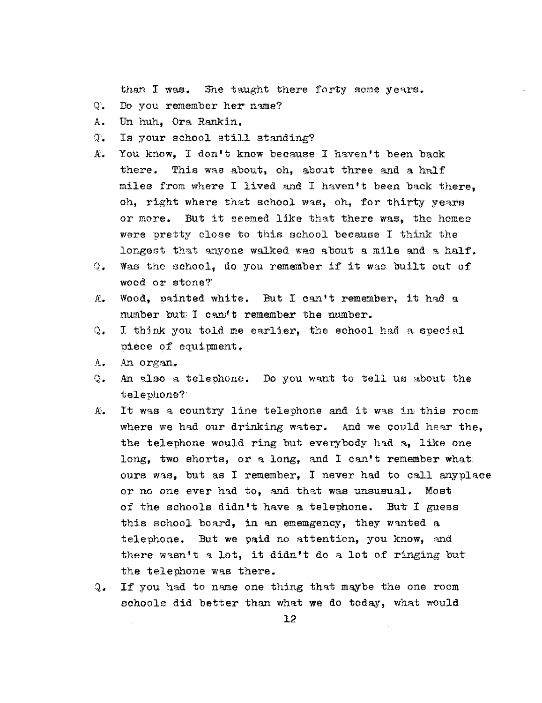than I was. She taught there forty some years.

- Q. Do you remember her name?
- A. Un huh, Ora. Rankin.
- T. Is your school still standing?
- A. You know, I don't know because I haven't been back there. This was about, oh, about three and a half miles from where I lived and I haven't been back there, oh, right where that school was, oh, for thirty years or more. But it seemed like that there was, the homes were pretty close to this school because I think the longest that anyone walked was about a mile and a half.
- Q. Was the school, do you remember if it was built out of wood or stone?'
- A. Wood, painted white. But I can't remember, it had a number but: I can't remember the number.
- Q. I think you told me earlier, the school had a special piece of equipment.
- A. An organ.
- Q. An also a telephone. Do you want to tell us about the telephone?
- A, It was a country line telephone and it was in this room where we had our drinking water. And we could hear the, the telephone would ring but everybody had .a, like one long, two shorts, or a long, and I can't remember what ours was, but as I remember, I never had to call anyplace or no one ever had to, and that was unsusual. Most of the schools didn't have a telephone. But I guess this school board, in an ememgency, they wanted a telephone. But we paid no attention, you know, and there wasn't a lot, it didn't do a lot of ringing but the telephone was there.
- Q. If you had to name one thing that maybe the one room schools did better than what we do today, what would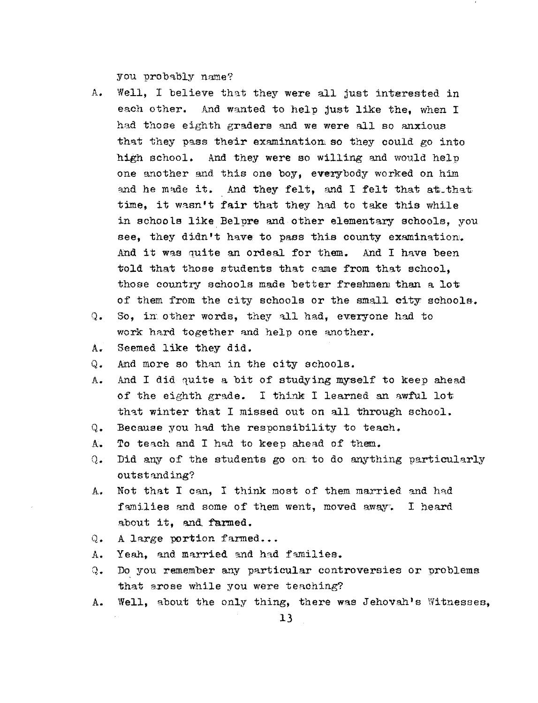you probably name?

- A. Well, I believe that they were all just interested in each other. And wanted to help just like the. when I had those eighth graders and we were all so anxious that they pass their examination so they could go into high school. And they were so willing and would help one another and this one boy, everybody worked on him and he made it. And they felt, and I felt that at that time, it wasn't fair that they had to take this while in schools like Belpre and other elementary schools, you see, they didn't have to pass this county examination. And it was quite an ordeal for them. And I have been told that those students that came from that school. those country schools made better freshmen than a lot of them from the city schools or the small city schools.
- Q. So, in other words, they all had, everyone had to work hard together and help one another.
- A. Seemed like they did.
- Q. And more so than in the city schools.
- A. And I did quite a bit of studying myself to keep ahead of the eighth grade. I think I learned an awful lot that winter that I missed out on all through school.
- Q. Because you had the responsibility to teach.
- A. To teach and I had to keep ahead of them.
- Q. Did any of the students go on to do anything particularly outstanding?
- A. Not that I can, I think most of them married and had families and some of them went, moved away. I heard about it. and farmed.
- Q. A large portion farmed...
- A. Yeah. and married and had families.
- Q. Do you remember any particular controversies or problems that arose while you were teaching?
- A. Well, about the only thing, there was Jehovah's Witnesses,